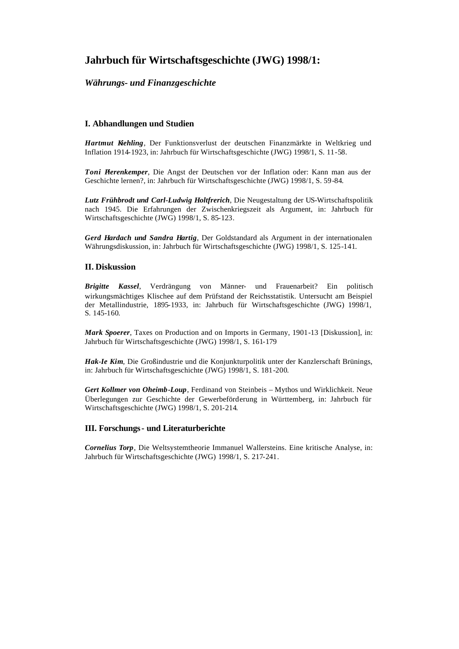# **Jahrbuch für Wirtschaftsgeschichte (JWG) 1998/1:**

# *Währungs- und Finanzgeschichte*

# **I. Abhandlungen und Studien**

*Hartmut Kiehling*, Der Funktionsverlust der deutschen Finanzmärkte in Weltkrieg und Inflation 1914-1923, in: Jahrbuch für Wirtschaftsgeschichte (JWG) 1998/1, S. 11-58.

*Toni Pierenkemper*, Die Angst der Deutschen vor der Inflation oder: Kann man aus der Geschichte lernen?, in: Jahrbuch für Wirtschaftsgeschichte (JWG) 1998/1, S. 59-84.

*Lutz Frühbrodt und Carl-Ludwig Holtfrerich*, Die Neugestaltung der US-Wirtschaftspolitik nach 1945. Die Erfahrungen der Zwischenkriegszeit als Argument, in: Jahrbuch für Wirtschaftsgeschichte (JWG) 1998/1, S. 85-123.

*Gerd Hardach und Sandra Hartig*, Der Goldstandard als Argument in der internationalen Währungsdiskussion, in: Jahrbuch für Wirtschaftsgeschichte (JWG) 1998/1, S. 125-141.

## **II. Diskussion**

*Brigitte Kassel*, Verdrängung von Männer- und Frauenarbeit? Ein politisch wirkungsmächtiges Klischee auf dem Prüfstand der Reichsstatistik. Untersucht am Beispiel der Metallindustrie, 1895-1933, in: Jahrbuch für Wirtschaftsgeschichte (JWG) 1998/1, S. 145-160.

*Mark Spoerer*, Taxes on Production and on Imports in Germany, 1901-13 [Diskussion], in: Jahrbuch für Wirtschaftsgeschichte (JWG) 1998/1, S. 161-179

*Hak-Ie Kim*, Die Großindustrie und die Konjunkturpolitik unter der Kanzlerschaft Brünings, in: Jahrbuch für Wirtschaftsgeschichte (JWG) 1998/1, S. 181-200.

*Gert Kollmer von Oheimb-Loup*, Ferdinand von Steinbeis – Mythos und Wirklichkeit. Neue Überlegungen zur Geschichte der Gewerbeförderung in Württemberg, in: Jahrbuch für Wirtschaftsgeschichte (JWG) 1998/1, S. 201-214.

### **III. Forschungs- und Literaturberichte**

*Cornelius Torp*, Die Weltsystemtheorie Immanuel Wallersteins. Eine kritische Analyse, in: Jahrbuch für Wirtschaftsgeschichte (JWG) 1998/1, S. 217-241.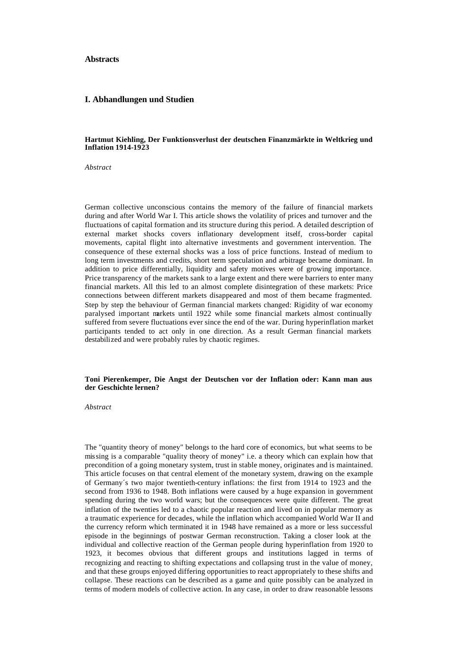#### **I. Abhandlungen und Studien**

#### **Hartmut Kiehling, Der Funktionsverlust der deutschen Finanzmärkte in Weltkrieg und Inflation 1914-1923**

*Abstract*

German collective unconscious contains the memory of the failure of financial markets during and after World War I. This article shows the volatility of prices and turnover and the fluctuations of capital formation and its structure during this period. A detailed description of external market shocks covers inflationary development itself, cross-border capital movements, capital flight into alternative investments and government intervention. The consequence of these external shocks was a loss of price functions. Instead of medium to long term investments and credits, short term speculation and arbitrage became dominant. In addition to price differentially, liquidity and safety motives were of growing importance. Price transparency of the markets sank to a large extent and there were barriers to enter many financial markets. All this led to an almost complete disintegration of these markets: Price connections between different markets disappeared and most of them became fragmented. Step by step the behaviour of German financial markets changed: Rigidity of war economy paralysed important markets until 1922 while some financial markets almost continually suffered from severe fluctuations ever since the end of the war. During hyperinflation market participants tended to act only in one direction. As a result German financial markets destabilized and were probably rules by chaotic regimes.

#### **Toni Pierenkemper, Die Angst der Deutschen vor der Inflation oder: Kann man aus der Geschichte lernen?**

*Abstract*

The "quantity theory of money" belongs to the hard core of economics, but what seems to be missing is a comparable "quality theory of money" i.e. a theory which can explain how that precondition of a going monetary system, trust in stable money, originates and is maintained. This article focuses on that central element of the monetary system, drawing on the example of Germany´s two major twentieth-century inflations: the first from 1914 to 1923 and the second from 1936 to 1948. Both inflations were caused by a huge expansion in government spending during the two world wars; but the consequences were quite different. The great inflation of the twenties led to a chaotic popular reaction and lived on in popular memory as a traumatic experience for decades, while the inflation which accompanied World War II and the currency reform which terminated it in 1948 have remained as a more or less successful episode in the beginnings of postwar German reconstruction. Taking a closer look at the individual and collective reaction of the German people during hyperinflation from 1920 to 1923, it becomes obvious that different groups and institutions lagged in terms of recognizing and reacting to shifting expectations and collapsing trust in the value of money, and that these groups enjoyed differing opportunities to react appropriately to these shifts and collapse. These reactions can be described as a game and quite possibly can be analyzed in terms of modern models of collective action. In any case, in order to draw reasonable lessons